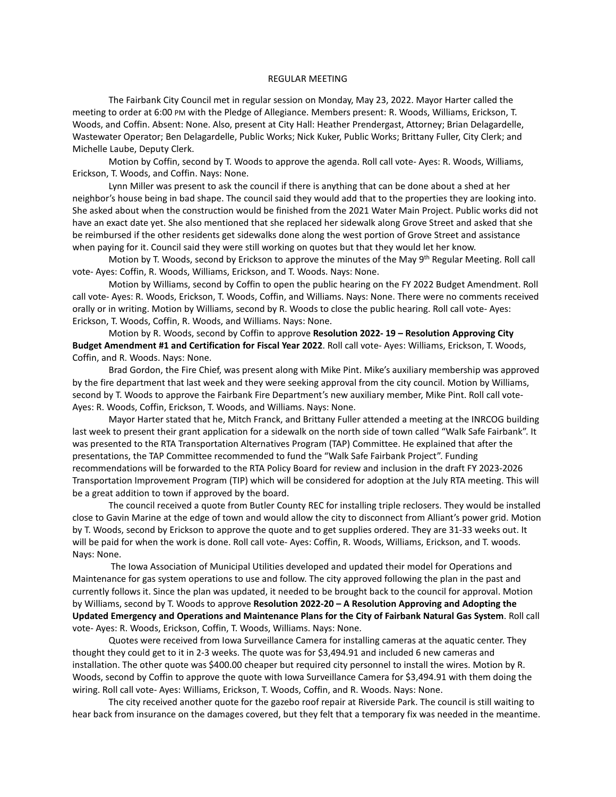## REGULAR MEETING

The Fairbank City Council met in regular session on Monday, May 23, 2022. Mayor Harter called the meeting to order at 6:00 PM with the Pledge of Allegiance. Members present: R. Woods, Williams, Erickson, T. Woods, and Coffin. Absent: None. Also, present at City Hall: Heather Prendergast, Attorney; Brian Delagardelle, Wastewater Operator; Ben Delagardelle, Public Works; Nick Kuker, Public Works; Brittany Fuller, City Clerk; and Michelle Laube, Deputy Clerk.

Motion by Coffin, second by T. Woods to approve the agenda. Roll call vote- Ayes: R. Woods, Williams, Erickson, T. Woods, and Coffin. Nays: None.

Lynn Miller was present to ask the council if there is anything that can be done about a shed at her neighbor's house being in bad shape. The council said they would add that to the properties they are looking into. She asked about when the construction would be finished from the 2021 Water Main Project. Public works did not have an exact date yet. She also mentioned that she replaced her sidewalk along Grove Street and asked that she be reimbursed if the other residents get sidewalks done along the west portion of Grove Street and assistance when paying for it. Council said they were still working on quotes but that they would let her know.

Motion by T. Woods, second by Erickson to approve the minutes of the May 9<sup>th</sup> Regular Meeting. Roll call vote- Ayes: Coffin, R. Woods, Williams, Erickson, and T. Woods. Nays: None.

Motion by Williams, second by Coffin to open the public hearing on the FY 2022 Budget Amendment. Roll call vote- Ayes: R. Woods, Erickson, T. Woods, Coffin, and Williams. Nays: None. There were no comments received orally or in writing. Motion by Williams, second by R. Woods to close the public hearing. Roll call vote- Ayes: Erickson, T. Woods, Coffin, R. Woods, and Williams. Nays: None.

Motion by R. Woods, second by Coffin to approve **Resolution 2022- 19 – Resolution Approving City Budget Amendment #1 and Certification for Fiscal Year 2022**. Roll call vote- Ayes: Williams, Erickson, T. Woods, Coffin, and R. Woods. Nays: None.

Brad Gordon, the Fire Chief, was present along with Mike Pint. Mike's auxiliary membership was approved by the fire department that last week and they were seeking approval from the city council. Motion by Williams, second by T. Woods to approve the Fairbank Fire Department's new auxiliary member, Mike Pint. Roll call vote-Ayes: R. Woods, Coffin, Erickson, T. Woods, and Williams. Nays: None.

Mayor Harter stated that he, Mitch Franck, and Brittany Fuller attended a meeting at the INRCOG building last week to present their grant application for a sidewalk on the north side of town called "Walk Safe Fairbank". It was presented to the RTA Transportation Alternatives Program (TAP) Committee. He explained that after the presentations, the TAP Committee recommended to fund the "Walk Safe Fairbank Project". Funding recommendations will be forwarded to the RTA Policy Board for review and inclusion in the draft FY 2023-2026 Transportation Improvement Program (TIP) which will be considered for adoption at the July RTA meeting. This will be a great addition to town if approved by the board.

The council received a quote from Butler County REC for installing triple reclosers. They would be installed close to Gavin Marine at the edge of town and would allow the city to disconnect from Alliant's power grid. Motion by T. Woods, second by Erickson to approve the quote and to get supplies ordered. They are 31-33 weeks out. It will be paid for when the work is done. Roll call vote- Ayes: Coffin, R. Woods, Williams, Erickson, and T. woods. Nays: None.

The Iowa Association of Municipal Utilities developed and updated their model for Operations and Maintenance for gas system operations to use and follow. The city approved following the plan in the past and currently follows it. Since the plan was updated, it needed to be brought back to the council for approval. Motion by Williams, second by T. Woods to approve **Resolution 2022-20 – A Resolution Approving and Adopting the Updated Emergency and Operations and Maintenance Plans for the City of Fairbank Natural Gas System**. Roll call vote- Ayes: R. Woods, Erickson, Coffin, T. Woods, Williams. Nays: None.

Quotes were received from Iowa Surveillance Camera for installing cameras at the aquatic center. They thought they could get to it in 2-3 weeks. The quote was for \$3,494.91 and included 6 new cameras and installation. The other quote was \$400.00 cheaper but required city personnel to install the wires. Motion by R. Woods, second by Coffin to approve the quote with Iowa Surveillance Camera for \$3,494.91 with them doing the wiring. Roll call vote- Ayes: Williams, Erickson, T. Woods, Coffin, and R. Woods. Nays: None.

The city received another quote for the gazebo roof repair at Riverside Park. The council is still waiting to hear back from insurance on the damages covered, but they felt that a temporary fix was needed in the meantime.